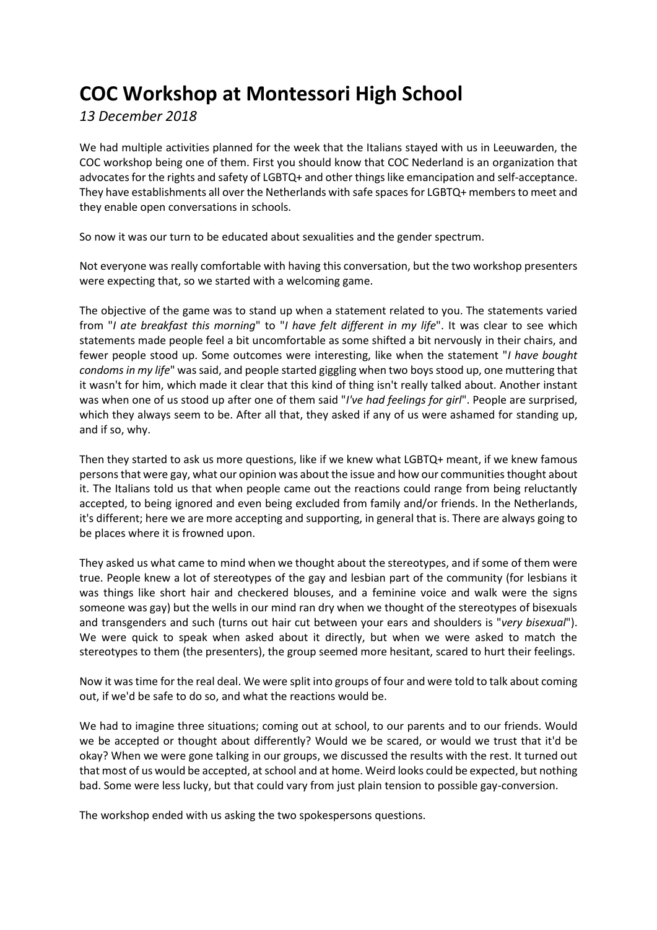## **COC Workshop at Montessori High School**

*13 December 2018*

We had multiple activities planned for the week that the Italians stayed with us in Leeuwarden, the COC workshop being one of them. First you should know that COC Nederland is an organization that advocates for the rights and safety of LGBTQ+ and other things like emancipation and self-acceptance. They have establishments all over the Netherlands with safe spaces for LGBTQ+ members to meet and they enable open conversations in schools.

So now it was our turn to be educated about sexualities and the gender spectrum.

Not everyone was really comfortable with having this conversation, but the two workshop presenters were expecting that, so we started with a welcoming game.

The objective of the game was to stand up when a statement related to you. The statements varied from "*I ate breakfast this morning*" to "*I have felt different in my life*". It was clear to see which statements made people feel a bit uncomfortable as some shifted a bit nervously in their chairs, and fewer people stood up. Some outcomes were interesting, like when the statement "*I have bought condoms in my life*" was said, and people started giggling when two boys stood up, one muttering that it wasn't for him, which made it clear that this kind of thing isn't really talked about. Another instant was when one of us stood up after one of them said "*I've had feelings for girl*". People are surprised, which they always seem to be. After all that, they asked if any of us were ashamed for standing up, and if so, why.

Then they started to ask us more questions, like if we knew what LGBTQ+ meant, if we knew famous persons that were gay, what our opinion was about the issue and how our communities thought about it. The Italians told us that when people came out the reactions could range from being reluctantly accepted, to being ignored and even being excluded from family and/or friends. In the Netherlands, it's different; here we are more accepting and supporting, in general that is. There are always going to be places where it is frowned upon.

They asked us what came to mind when we thought about the stereotypes, and if some of them were true. People knew a lot of stereotypes of the gay and lesbian part of the community (for lesbians it was things like short hair and checkered blouses, and a feminine voice and walk were the signs someone was gay) but the wells in our mind ran dry when we thought of the stereotypes of bisexuals and transgenders and such (turns out hair cut between your ears and shoulders is "*very bisexual*"). We were quick to speak when asked about it directly, but when we were asked to match the stereotypes to them (the presenters), the group seemed more hesitant, scared to hurt their feelings.

Now it was time for the real deal. We were split into groups of four and were told to talk about coming out, if we'd be safe to do so, and what the reactions would be.

We had to imagine three situations; coming out at school, to our parents and to our friends. Would we be accepted or thought about differently? Would we be scared, or would we trust that it'd be okay? When we were gone talking in our groups, we discussed the results with the rest. It turned out that most of us would be accepted, at school and at home. Weird looks could be expected, but nothing bad. Some were less lucky, but that could vary from just plain tension to possible gay-conversion.

The workshop ended with us asking the two spokespersons questions.